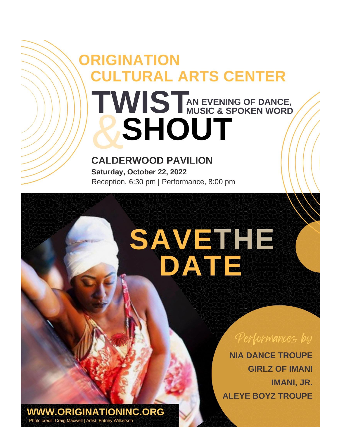## **ORIGINATION CULTURAL ARTS CENTER** TWIST AN EVENING OF DANCE, **SHOUT**

## **CALDERWOOD PAVILION**

Saturday, October 22, 2022 Reception, 6:30 pm | Performance, 8:00 pm

# SAVETHE DATE

Performances by

**NIA DANCE TROUPE GIRLZ OF IMANI IMANI, JR. ALEYE BOYZ TROUPE** 

**WWW.ORIGINATIONINC.ORG** Photo credit: Craig Maxwell | Artist, Britney Wilkerson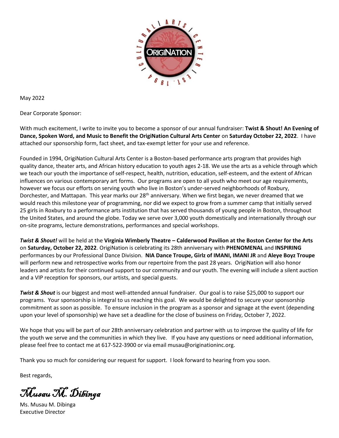

May 2022

Dear Corporate Sponsor:

With much excitement, I write to invite you to become a sponsor of our annual fundraiser: **Twist & Shout! An Evening of Dance, Spoken Word, and Music to Benefit the OrigiNation Cultural Arts Center** on **Saturday October 22, 2022**. I have attached our sponsorship form, fact sheet, and tax-exempt letter for your use and reference.

Founded in 1994, OrigiNation Cultural Arts Center is a Boston-based performance arts program that provides high quality dance, theater arts, and African history education to youth ages 2-18. We use the arts as a vehicle through which we teach our youth the importance of self-respect, health, nutrition, education, self-esteem, and the extent of African influences on various contemporary art forms. Our programs are open to all youth who meet our age requirements, however we focus our efforts on serving youth who live in Boston's under-served neighborhoods of Roxbury, Dorchester, and Mattapan. This year marks our 28<sup>th</sup> anniversary. When we first began, we never dreamed that we would reach this milestone year of programming, nor did we expect to grow from a summer camp that initially served 25 girls in Roxbury to a performance arts institution that has served thousands of young people in Boston, throughout the United States, and around the globe. Today we serve over 3,000 youth domestically and internationally through our on-site programs, lecture demonstrations, performances and special workshops.

*Twist & Shout!* will be held at the **Virginia Wimberly Theatre – Calderwood Pavilion at the Boston Center for the Arts** on **Saturday, October 22, 2022**. OrigiNation is celebrating its 28th anniversary with **PHENOMENAL** and **INSPIRING**  performances by our Professional Dance Division. **NIA Dance Troupe, Girlz of IMANI, IMANI JR** and **Aleye Boyz Troupe** will perform new and retrospective works from our repertoire from the past 28 years. OrigiNation will also honor leaders and artists for their continued support to our community and our youth. The evening will include a silent auction and a VIP reception for sponsors, our artists, and special guests.

*Twist & Shout* is our biggest and most well-attended annual fundraiser. Our goal is to raise \$25,000 to support our programs. Your sponsorship is integral to us reaching this goal. We would be delighted to secure your sponsorship commitment as soon as possible. To ensure inclusion in the program as a sponsor and signage at the event (depending upon your level of sponsorship) we have set a deadline for the close of business on Friday, October 7, 2022.

We hope that you will be part of our 28th anniversary celebration and partner with us to improve the quality of life for the youth we serve and the communities in which they live. If you have any questions or need additional information, please feel free to contact me at 617-522-3900 or via email [musau@originationinc.org.](mailto:musau@originationinc.org)

Thank you so much for considering our request for support. I look forward to hearing from you soon.

Best regards,

Musau M. Dibinga

Ms. Musau M. Dibinga Executive Director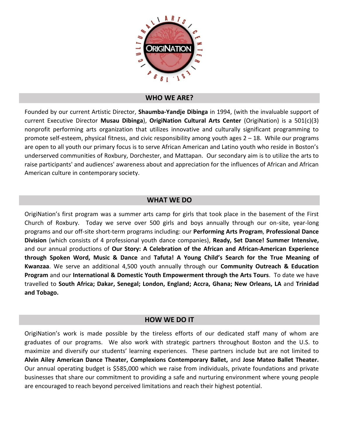

#### **WHO WE ARE?**

Founded by our current Artistic Director, **Shaumba-Yandje Dibinga** in 1994, (with the invaluable support of current Executive Director **Musau Dibinga**), **OrigiNation Cultural Arts Center** (OrigiNation) is a 501(c)(3) nonprofit performing arts organization that utilizes innovative and culturally significant programming to promote self-esteem, physical fitness, and civic responsibility among youth ages 2 – 18. While our programs are open to all youth our primary focus is to serve African American and Latino youth who reside in Boston's underserved communities of Roxbury, Dorchester, and Mattapan. Our secondary aim is to utilize the arts to raise participants' and audiences' awareness about and appreciation for the influences of African and African American culture in contemporary society.

### **WHAT WE DO**

OrigiNation's first program was a summer arts camp for girls that took place in the basement of the First Church of Roxbury. Today we serve over 500 girls and boys annually through our on-site, year-long programs and our off-site short-term programs including: our **Performing Arts Program**, **Professional Dance Division** (which consists of 4 professional youth dance companies), **Ready, Set Dance! Summer Intensive,** and our annual productions of **Our Story: A Celebration of the African and African-American Experience through Spoken Word, Music & Dance** and **Tafuta! A Young Child's Search for the True Meaning of Kwanzaa**. We serve an additional 4,500 youth annually through our **Community Outreach & Education Program** and our **International & Domestic Youth Empowerment through the Arts Tours**. To date we have travelled to **South Africa; Dakar, Senegal; London, England; Accra, Ghana; New Orleans, LA** and **Trinidad and Tobago.**

#### **HOW WE DO IT**

OrigiNation's work is made possible by the tireless efforts of our dedicated staff many of whom are graduates of our programs. We also work with strategic partners throughout Boston and the U.S. to maximize and diversify our students' learning experiences. These partners include but are not limited to **Alvin Ailey American Dance Theater, Complexions Contemporary Ballet,** and **Jose Mateo Ballet Theater.**  Our annual operating budget is \$585,000 which we raise from individuals, private foundations and private businesses that share our commitment to providing a safe and nurturing environment where young people are encouraged to reach beyond perceived limitations and reach their highest potential.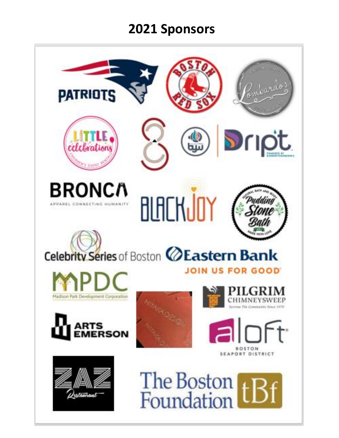## **2021 Sponsors**

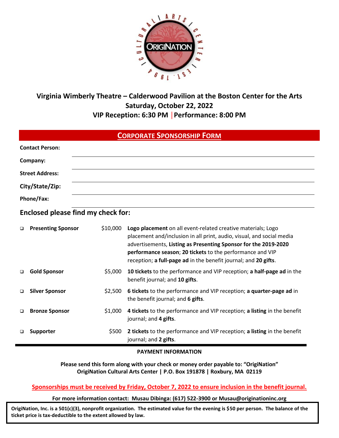

## **Virginia Wimberly Theatre – Calderwood Pavilion at the Boston Center for the Arts Saturday, October 22, 2022 VIP Reception: 6:30 PM │Performance: 8:00 PM**

| <b>CORPORATE SPONSORSHIP FORM</b> |                                           |          |                                                                                                                                                                                                                                                                                                                                          |  |  |  |  |
|-----------------------------------|-------------------------------------------|----------|------------------------------------------------------------------------------------------------------------------------------------------------------------------------------------------------------------------------------------------------------------------------------------------------------------------------------------------|--|--|--|--|
|                                   | <b>Contact Person:</b>                    |          |                                                                                                                                                                                                                                                                                                                                          |  |  |  |  |
|                                   | Company:                                  |          |                                                                                                                                                                                                                                                                                                                                          |  |  |  |  |
| <b>Street Address:</b>            |                                           |          |                                                                                                                                                                                                                                                                                                                                          |  |  |  |  |
|                                   | City/State/Zip:                           |          |                                                                                                                                                                                                                                                                                                                                          |  |  |  |  |
|                                   | Phone/Fax:                                |          |                                                                                                                                                                                                                                                                                                                                          |  |  |  |  |
|                                   | <b>Enclosed please find my check for:</b> |          |                                                                                                                                                                                                                                                                                                                                          |  |  |  |  |
| $\Box$                            | <b>Presenting Sponsor</b>                 | \$10,000 | Logo placement on all event-related creative materials; Logo<br>placement and/inclusion in all print, audio, visual, and social media<br>advertisements, Listing as Presenting Sponsor for the 2019-2020<br>performance season; 20 tickets to the performance and VIP<br>reception; a full-page ad in the benefit journal; and 20 gifts. |  |  |  |  |
| $\Box$                            | <b>Gold Sponsor</b>                       | \$5,000  | 10 tickets to the performance and VIP reception; a half-page ad in the<br>benefit journal; and 10 gifts.                                                                                                                                                                                                                                 |  |  |  |  |
| $\Box$                            | <b>Silver Sponsor</b>                     | \$2,500  | 6 tickets to the performance and VIP reception; a quarter-page ad in<br>the benefit journal; and 6 gifts.                                                                                                                                                                                                                                |  |  |  |  |
| $\Box$                            | <b>Bronze Sponsor</b>                     | \$1,000  | 4 tickets to the performance and VIP reception; a listing in the benefit<br>journal; and 4 gifts.                                                                                                                                                                                                                                        |  |  |  |  |
| $\Box$                            | Supporter                                 | \$500    | 2 tickets to the performance and VIP reception; a listing in the benefit<br>journal; and 2 gifts.                                                                                                                                                                                                                                        |  |  |  |  |

#### **PAYMENT INFORMATION**

**Please send this form along with your check or money order payable to: "OrigiNation" OrigiNation Cultural Arts Center | P.O. Box 191878 | Roxbury, MA 02119**

**Sponsorships must be received by Friday, October 7, 2022 to ensure inclusion in the benefit journal.**

**For more information contact: Musau Dibinga: (617) 522-3900 or Musau@originationinc.org**

**OrigiNation, Inc. is a 501(c)(3), nonprofit organization. The estimated value for the evening is \$50 per person. The balance of the ticket price is tax-deductible to the extent allowed by law.**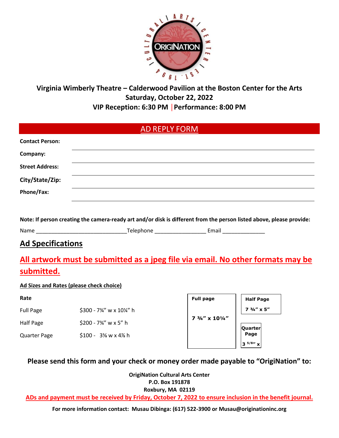

## **Virginia Wimberly Theatre – Calderwood Pavilion at the Boston Center for the Arts Saturday, October 22, 2022 VIP Reception: 6:30 PM │Performance: 8:00 PM**

|                        | <b>AD REPLY FORM</b>                                                                                                |
|------------------------|---------------------------------------------------------------------------------------------------------------------|
| <b>Contact Person:</b> |                                                                                                                     |
| Company:               |                                                                                                                     |
| <b>Street Address:</b> |                                                                                                                     |
| City/State/Zip:        |                                                                                                                     |
| Phone/Fax:             |                                                                                                                     |
|                        |                                                                                                                     |
|                        | Note: If nerson creating the samera ready art and/or disk is different from the nerson listed above please provider |

**Note: If person creating the camera-ready art and/or disk is different from the person listed above, please provide:**

Name \_\_\_\_\_\_\_\_\_\_\_\_\_\_\_\_\_\_\_\_\_\_\_\_\_\_\_\_\_\_Telephone \_\_\_\_\_\_\_\_\_\_\_\_\_\_\_\_\_ Email \_\_\_\_\_\_\_\_\_\_\_\_\_\_

## **Ad Specifications**

## **All artwork must be submitted as a jpeg file via email. No other formats may be submitted.**

### **Ad Sizes and Rates (please check choice)**

#### **Rate**

- Full Page \$300 7¾" w x 10¼" h
- Half Page \$200 7¾" w x 5" h

Quarter Page \$100 - 3⅝ w x 4⅞ h

| <b>Full page</b>                     | <b>Half Page</b>     |
|--------------------------------------|----------------------|
|                                      | $7.3/4'' \times 5''$ |
| $7\frac{3}{4}$ " x $10\frac{1}{4}$ " |                      |
|                                      | <b>Quarter</b>       |
|                                      | Page                 |
|                                      | $3^{5/8}$            |

## **Please send this form and your check or money order made payable to "OrigiNation" to:**

**OrigiNation Cultural Arts Center P.O. Box 191878 Roxbury, MA 02119**

**ADs and payment must be received by Friday, October 7, 2022 to ensure inclusion in the benefit journal.**

**For more information contact: Musau Dibinga: (617) 522-3900 or [Musau@originationinc.org](mailto:Musau@originationinc.org)**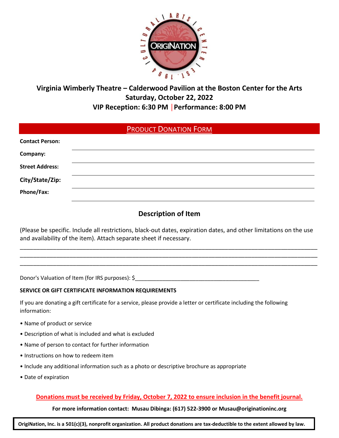

## **Virginia Wimberly Theatre – Calderwood Pavilion at the Boston Center for the Arts Saturday, October 22, 2022 VIP Reception: 6:30 PM │Performance: 8:00 PM**

## PRODUCT DONATION FORM

| <b>Contact Person:</b> |  |  |
|------------------------|--|--|
| Company:               |  |  |
| <b>Street Address:</b> |  |  |
| City/State/Zip:        |  |  |
| Phone/Fax:             |  |  |
|                        |  |  |

## **Description of Item**

(Please be specific. Include all restrictions, black-out dates, expiration dates, and other limitations on the use and availability of the item). Attach separate sheet if necessary.

\_\_\_\_\_\_\_\_\_\_\_\_\_\_\_\_\_\_\_\_\_\_\_\_\_\_\_\_\_\_\_\_\_\_\_\_\_\_\_\_\_\_\_\_\_\_\_\_\_\_\_\_\_\_\_\_\_\_\_\_\_\_\_\_\_\_\_\_\_\_\_\_\_\_\_\_\_\_\_\_\_\_\_\_\_\_\_\_\_\_ \_\_\_\_\_\_\_\_\_\_\_\_\_\_\_\_\_\_\_\_\_\_\_\_\_\_\_\_\_\_\_\_\_\_\_\_\_\_\_\_\_\_\_\_\_\_\_\_\_\_\_\_\_\_\_\_\_\_\_\_\_\_\_\_\_\_\_\_\_\_\_\_\_\_\_\_\_\_\_\_\_\_\_\_\_\_\_\_\_\_ \_\_\_\_\_\_\_\_\_\_\_\_\_\_\_\_\_\_\_\_\_\_\_\_\_\_\_\_\_\_\_\_\_\_\_\_\_\_\_\_\_\_\_\_\_\_\_\_\_\_\_\_\_\_\_\_\_\_\_\_\_\_\_\_\_\_\_\_\_\_\_\_\_\_\_\_\_\_\_\_\_\_\_\_\_\_\_\_\_\_

Donor's Valuation of Item (for IRS purposes): \$

#### **SERVICE OR GIFT CERTIFICATE INFORMATION REQUIREMENTS**

If you are donating a gift certificate for a service, please provide a letter or certificate including the following information:

- Name of product or service
- Description of what is included and what is excluded
- Name of person to contact for further information
- Instructions on how to redeem item
- Include any additional information such as a photo or descriptive brochure as appropriate
- Date of expiration

#### **Donations must be received by Friday, October 7, 2022 to ensure inclusion in the benefit journal.**

**For more information contact: Musau Dibinga: (617) 522-3900 or Musau@originationinc.org**

**OrigiNation, Inc. is a 501(c)(3), nonprofit organization. All product donations are tax-deductible to the extent allowed by law.**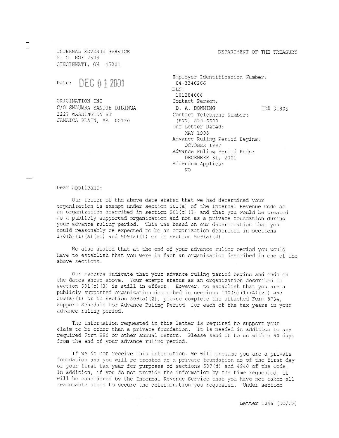DEPARTMENT OF THE TREASURY

INTERNAL REVENUE SERVICE P. O. BOX 2508 CINCINNATI, OH 45201

**DEC 0 1 2001** Date:

ORIGINATION INC C/O SHAUMBA YANDJE DIBINGA 3227 WASHINGTON ST JAMAICA PLAIN, MA 02130

Employer Identification Number: 04-3346266 DLN: 101284006 Contact Person: D. A. DOWNING ID# 31805 Contact Telephone Number:  $(877)$  829-5500 Our Letter Dated: MAY 1998 Advance Ruling Period Begins: OCTOBER 1997 Advance Ruling Period Ends: DECEMBER 31, 2001 Addendum Applies: NO.

Dear Applicant:

Our letter of the above date stated that we had determined your organization is exempt under section 501(a) of the Internal Revenue Code as an organization described in section 501(c)(3) and that you would be treated as a publicly supported organization and not as a private foundation during your advance ruling period. This was based on our determination that you could reasonably be expected to be an organization described in sections 170(b) (1) (A) (vi) and 509(a) (1) or in section 509(a) (2).

We also stated that at the end of your advance ruling period you would have to establish that you were in fact an organization described in one of the above sections.

Our records indicate that your advance ruling period begins and ends on the dates shown above. Your exempt status as an organization described in section  $501(c)(3)$  is still in effect. However, to establish that you are a publicly supported organization described in sections 170(b)(1)(A)(vi) and 509(a) (1) or in section 509(a) (2), please complete the attached Form 8734, Support Schedule for Advance Ruling Period, for each of the tax years in your advance ruling period.

The information requested in this letter is required to support your claim to be other than a private foundation. It is needed in addition to any required Form 990 or other annual return. Please send it to us within 90 days from the end of your advance ruling period.

If we do not receive this information, we will presume you are a private foundation and you will be treated as a private foundation as of the first day of your first tax year for purposes of sections 507(d) and 4940 of the Code. In addition, if you do not provide the information by the time requested, it will be considered by the Internal Revenue Service that you have not taken all reasonable steps to secure the determination you requested. Under section